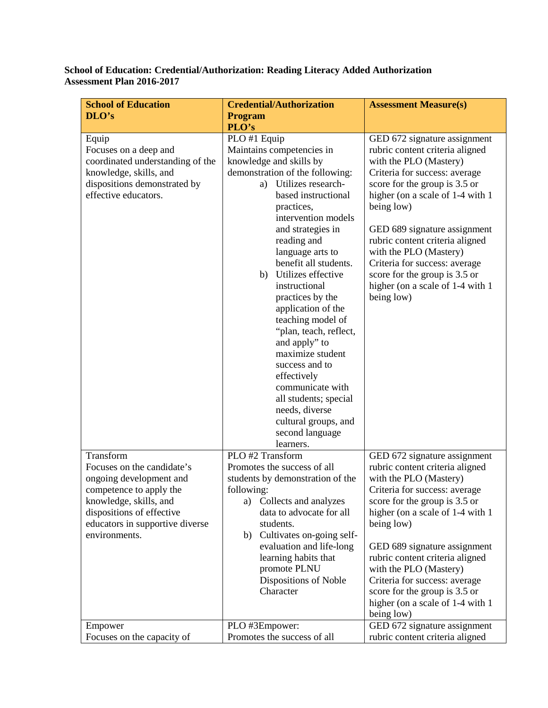## **School of Education: Credential/Authorization: Reading Literacy Added Authorization Assessment Plan 2016-2017**

| <b>School of Education</b>                             | <b>Credential/Authorization</b>                             | <b>Assessment Measure(s)</b>                                   |
|--------------------------------------------------------|-------------------------------------------------------------|----------------------------------------------------------------|
| DLO's                                                  | <b>Program</b>                                              |                                                                |
|                                                        | PLO's                                                       |                                                                |
| Equip                                                  | PLO #1 Equip                                                | GED 672 signature assignment                                   |
| Focuses on a deep and                                  | Maintains competencies in                                   | rubric content criteria aligned                                |
| coordinated understanding of the                       | knowledge and skills by                                     | with the PLO (Mastery)                                         |
| knowledge, skills, and<br>dispositions demonstrated by | demonstration of the following:<br>Utilizes research-<br>a) | Criteria for success: average<br>score for the group is 3.5 or |
| effective educators.                                   | based instructional                                         | higher (on a scale of 1-4 with 1)                              |
|                                                        | practices,                                                  | being low)                                                     |
|                                                        | intervention models                                         |                                                                |
|                                                        | and strategies in                                           | GED 689 signature assignment                                   |
|                                                        | reading and                                                 | rubric content criteria aligned                                |
|                                                        | language arts to                                            | with the PLO (Mastery)                                         |
|                                                        | benefit all students.                                       | Criteria for success: average                                  |
|                                                        | Utilizes effective<br>b)                                    | score for the group is 3.5 or                                  |
|                                                        | instructional                                               | higher (on a scale of 1-4 with 1)                              |
|                                                        | practices by the                                            | being low)                                                     |
|                                                        | application of the<br>teaching model of                     |                                                                |
|                                                        | "plan, teach, reflect,                                      |                                                                |
|                                                        | and apply" to                                               |                                                                |
|                                                        | maximize student                                            |                                                                |
|                                                        | success and to                                              |                                                                |
|                                                        | effectively                                                 |                                                                |
|                                                        | communicate with                                            |                                                                |
|                                                        | all students; special                                       |                                                                |
|                                                        | needs, diverse                                              |                                                                |
|                                                        | cultural groups, and                                        |                                                                |
|                                                        | second language<br>learners.                                |                                                                |
| Transform                                              | PLO #2 Transform                                            | GED 672 signature assignment                                   |
| Focuses on the candidate's                             | Promotes the success of all                                 | rubric content criteria aligned                                |
| ongoing development and                                | students by demonstration of the                            | with the PLO (Mastery)                                         |
| competence to apply the                                | following:                                                  | Criteria for success: average                                  |
| knowledge, skills, and                                 | Collects and analyzes<br>a)                                 | score for the group is 3.5 or                                  |
| dispositions of effective                              | data to advocate for all                                    | higher (on a scale of 1-4 with 1)                              |
| educators in supportive diverse                        | students.                                                   | being low)                                                     |
| environments.                                          | b) Cultivates on-going self-                                |                                                                |
|                                                        | evaluation and life-long                                    | GED 689 signature assignment                                   |
|                                                        | learning habits that<br>promote PLNU                        | rubric content criteria aligned<br>with the PLO (Mastery)      |
|                                                        | Dispositions of Noble                                       | Criteria for success: average                                  |
|                                                        | Character                                                   | score for the group is 3.5 or                                  |
|                                                        |                                                             | higher (on a scale of 1-4 with 1)                              |
|                                                        |                                                             | being low)                                                     |
| Empower                                                | PLO #3Empower:                                              | GED 672 signature assignment                                   |
| Focuses on the capacity of                             | Promotes the success of all                                 | rubric content criteria aligned                                |